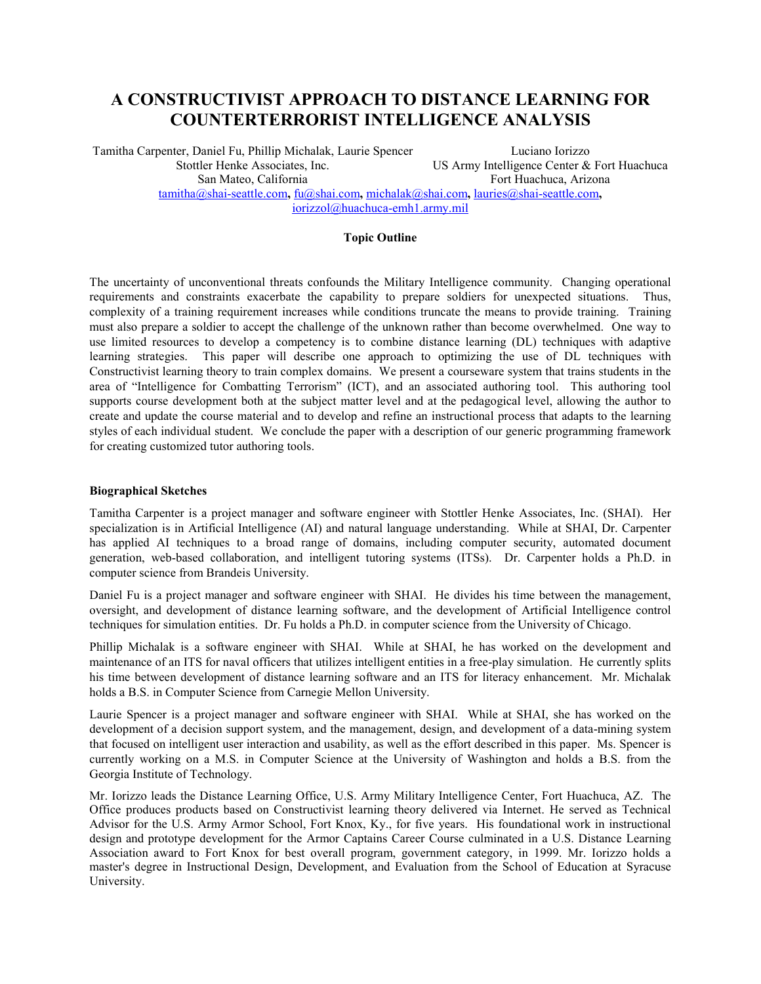# **A CONSTRUCTIVIST APPROACH TO DISTANCE LEARNING FOR COUNTERTERRORIST INTELLIGENCE ANALYSIS**

Tamitha Carpenter, Daniel Fu, Phillip Michalak, Laurie Spencer Luciano Iorizzo Stottler Henke Associates, Inc. US Army Intelligence Center & Fort Huachuca San Mateo, California Fort Huachuca, Arizona tamitha@shai-seattle.com**,** fu@shai.com**,** michalak@shai.com**,** lauries@shai-seattle.com**,** iorizzol@huachuca-emh1.army.mil

# **Topic Outline**

The uncertainty of unconventional threats confounds the Military Intelligence community. Changing operational requirements and constraints exacerbate the capability to prepare soldiers for unexpected situations. Thus, complexity of a training requirement increases while conditions truncate the means to provide training. Training must also prepare a soldier to accept the challenge of the unknown rather than become overwhelmed. One way to use limited resources to develop a competency is to combine distance learning (DL) techniques with adaptive learning strategies. This paper will describe one approach to optimizing the use of DL techniques with Constructivist learning theory to train complex domains. We present a courseware system that trains students in the area of "Intelligence for Combatting Terrorism" (ICT), and an associated authoring tool. This authoring tool supports course development both at the subject matter level and at the pedagogical level, allowing the author to create and update the course material and to develop and refine an instructional process that adapts to the learning styles of each individual student. We conclude the paper with a description of our generic programming framework for creating customized tutor authoring tools.

## **Biographical Sketches**

Tamitha Carpenter is a project manager and software engineer with Stottler Henke Associates, Inc. (SHAI). Her specialization is in Artificial Intelligence (AI) and natural language understanding. While at SHAI, Dr. Carpenter has applied AI techniques to a broad range of domains, including computer security, automated document generation, web-based collaboration, and intelligent tutoring systems (ITSs). Dr. Carpenter holds a Ph.D. in computer science from Brandeis University.

Daniel Fu is a project manager and software engineer with SHAI. He divides his time between the management, oversight, and development of distance learning software, and the development of Artificial Intelligence control techniques for simulation entities. Dr. Fu holds a Ph.D. in computer science from the University of Chicago.

Phillip Michalak is a software engineer with SHAI. While at SHAI, he has worked on the development and maintenance of an ITS for naval officers that utilizes intelligent entities in a free-play simulation. He currently splits his time between development of distance learning software and an ITS for literacy enhancement. Mr. Michalak holds a B.S. in Computer Science from Carnegie Mellon University.

Laurie Spencer is a project manager and software engineer with SHAI. While at SHAI, she has worked on the development of a decision support system, and the management, design, and development of a data-mining system that focused on intelligent user interaction and usability, as well as the effort described in this paper. Ms. Spencer is currently working on a M.S. in Computer Science at the University of Washington and holds a B.S. from the Georgia Institute of Technology.

Mr. Iorizzo leads the Distance Learning Office, U.S. Army Military Intelligence Center, Fort Huachuca, AZ. The Office produces products based on Constructivist learning theory delivered via Internet. He served as Technical Advisor for the U.S. Army Armor School, Fort Knox, Ky., for five years. His foundational work in instructional design and prototype development for the Armor Captains Career Course culminated in a U.S. Distance Learning Association award to Fort Knox for best overall program, government category, in 1999. Mr. Iorizzo holds a master's degree in Instructional Design, Development, and Evaluation from the School of Education at Syracuse University.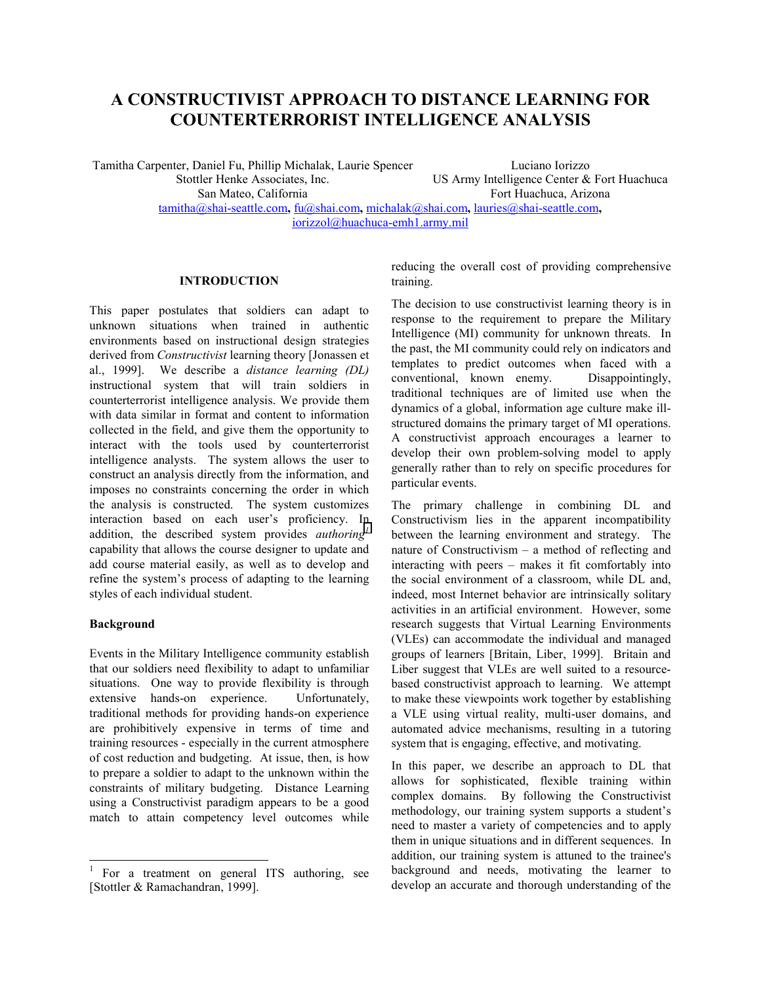# **A CONSTRUCTIVIST APPROACH TO DISTANCE LEARNING FOR COUNTERTERRORIST INTELLIGENCE ANALYSIS**

Tamitha Carpenter, Daniel Fu, Phillip Michalak, Laurie Spencer Luciano Iorizzo Stottler Henke Associates, Inc. US Army Intelligence Center & Fort Huachuca San Mateo, California Fort Huachuca, Arizona tamitha@shai-seattle.com**,** fu@shai.com**,** michalak@shai.com**,** lauries@shai-seattle.com**,** iorizzol@huachuca-emh1.army.mil

# **INTRODUCTION**

This paper postulates that soldiers can adapt to unknown situations when trained in authentic environments based on instructional design strategies derived from *Constructivist* learning theory [Jonassen et al., 1999]. We describe a *distance learning (DL)* instructional system that will train soldiers in counterterrorist intelligence analysis. We provide them with data similar in format and content to information collected in the field, and give them the opportunity to interact with the tools used by counterterrorist intelligence analysts. The system allows the user to construct an analysis directly from the information, and imposes no constraints concerning the order in which the analysis is constructed. The system customizes interaction based on each user's proficiency. In addition, the described system provides *authoring<sup>1</sup>* capability that allows the course designer to update and add course material easily, as well as to develop and refine the system's process of adapting to the learning styles of each individual student.

## **Background**

Events in the Military Intelligence community establish that our soldiers need flexibility to adapt to unfamiliar situations. One way to provide flexibility is through extensive hands-on experience. Unfortunately, traditional methods for providing hands-on experience are prohibitively expensive in terms of time and training resources - especially in the current atmosphere of cost reduction and budgeting. At issue, then, is how to prepare a soldier to adapt to the unknown within the constraints of military budgeting. Distance Learning using a Constructivist paradigm appears to be a good match to attain competency level outcomes while

reducing the overall cost of providing comprehensive training.

The decision to use constructivist learning theory is in response to the requirement to prepare the Military Intelligence (MI) community for unknown threats. In the past, the MI community could rely on indicators and templates to predict outcomes when faced with a conventional, known enemy. Disappointingly, traditional techniques are of limited use when the dynamics of a global, information age culture make illstructured domains the primary target of MI operations. A constructivist approach encourages a learner to develop their own problem-solving model to apply generally rather than to rely on specific procedures for particular events.

The primary challenge in combining DL and Constructivism lies in the apparent incompatibility between the learning environment and strategy. The nature of Constructivism – a method of reflecting and interacting with peers – makes it fit comfortably into the social environment of a classroom, while DL and, indeed, most Internet behavior are intrinsically solitary activities in an artificial environment. However, some research suggests that Virtual Learning Environments (VLEs) can accommodate the individual and managed groups of learners [Britain, Liber, 1999]. Britain and Liber suggest that VLEs are well suited to a resourcebased constructivist approach to learning. We attempt to make these viewpoints work together by establishing a VLE using virtual reality, multi-user domains, and automated advice mechanisms, resulting in a tutoring system that is engaging, effective, and motivating.

In this paper, we describe an approach to DL that allows for sophisticated, flexible training within complex domains. By following the Constructivist methodology, our training system supports a student's need to master a variety of competencies and to apply them in unique situations and in different sequences. In addition, our training system is attuned to the trainee's background and needs, motivating the learner to develop an accurate and thorough understanding of the

<sup>&</sup>lt;sup>1</sup> For a treatment on general ITS authoring, see [Stottler & Ramachandran, 1999].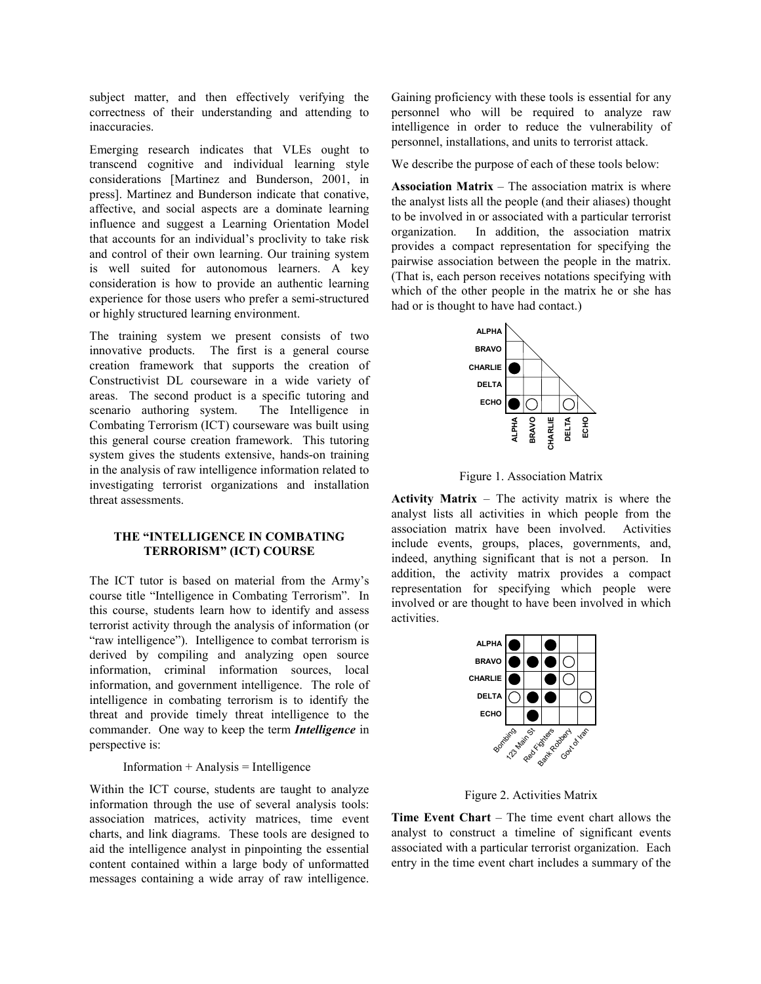subject matter, and then effectively verifying the correctness of their understanding and attending to inaccuracies.

Emerging research indicates that VLEs ought to transcend cognitive and individual learning style considerations [Martinez and Bunderson, 2001, in press]. Martinez and Bunderson indicate that conative, affective, and social aspects are a dominate learning influence and suggest a Learning Orientation Model that accounts for an individual's proclivity to take risk and control of their own learning. Our training system is well suited for autonomous learners. A key consideration is how to provide an authentic learning experience for those users who prefer a semi-structured or highly structured learning environment.

The training system we present consists of two innovative products. The first is a general course creation framework that supports the creation of Constructivist DL courseware in a wide variety of areas. The second product is a specific tutoring and scenario authoring system. The Intelligence in Combating Terrorism (ICT) courseware was built using this general course creation framework. This tutoring system gives the students extensive, hands-on training in the analysis of raw intelligence information related to investigating terrorist organizations and installation threat assessments.

# **THE "INTELLIGENCE IN COMBATING TERRORISM" (ICT) COURSE**

The ICT tutor is based on material from the Army's course title "Intelligence in Combating Terrorism". In this course, students learn how to identify and assess terrorist activity through the analysis of information (or "raw intelligence"). Intelligence to combat terrorism is derived by compiling and analyzing open source information, criminal information sources, local information, and government intelligence. The role of intelligence in combating terrorism is to identify the threat and provide timely threat intelligence to the commander. One way to keep the term *Intelligence* in perspective is:

#### $Information + Analysis = Intelligence$

Within the ICT course, students are taught to analyze information through the use of several analysis tools: association matrices, activity matrices, time event charts, and link diagrams. These tools are designed to aid the intelligence analyst in pinpointing the essential content contained within a large body of unformatted messages containing a wide array of raw intelligence.

Gaining proficiency with these tools is essential for any personnel who will be required to analyze raw intelligence in order to reduce the vulnerability of personnel, installations, and units to terrorist attack.

We describe the purpose of each of these tools below:

**Association Matrix** – The association matrix is where the analyst lists all the people (and their aliases) thought to be involved in or associated with a particular terrorist organization. In addition, the association matrix provides a compact representation for specifying the pairwise association between the people in the matrix. (That is, each person receives notations specifying with which of the other people in the matrix he or she has had or is thought to have had contact.)



Figure 1. Association Matrix

**Activity Matrix** – The activity matrix is where the analyst lists all activities in which people from the association matrix have been involved. Activities include events, groups, places, governments, and, indeed, anything significant that is not a person. In addition, the activity matrix provides a compact representation for specifying which people were involved or are thought to have been involved in which activities.



Figure 2. Activities Matrix

**Time Event Chart** – The time event chart allows the analyst to construct a timeline of significant events associated with a particular terrorist organization. Each entry in the time event chart includes a summary of the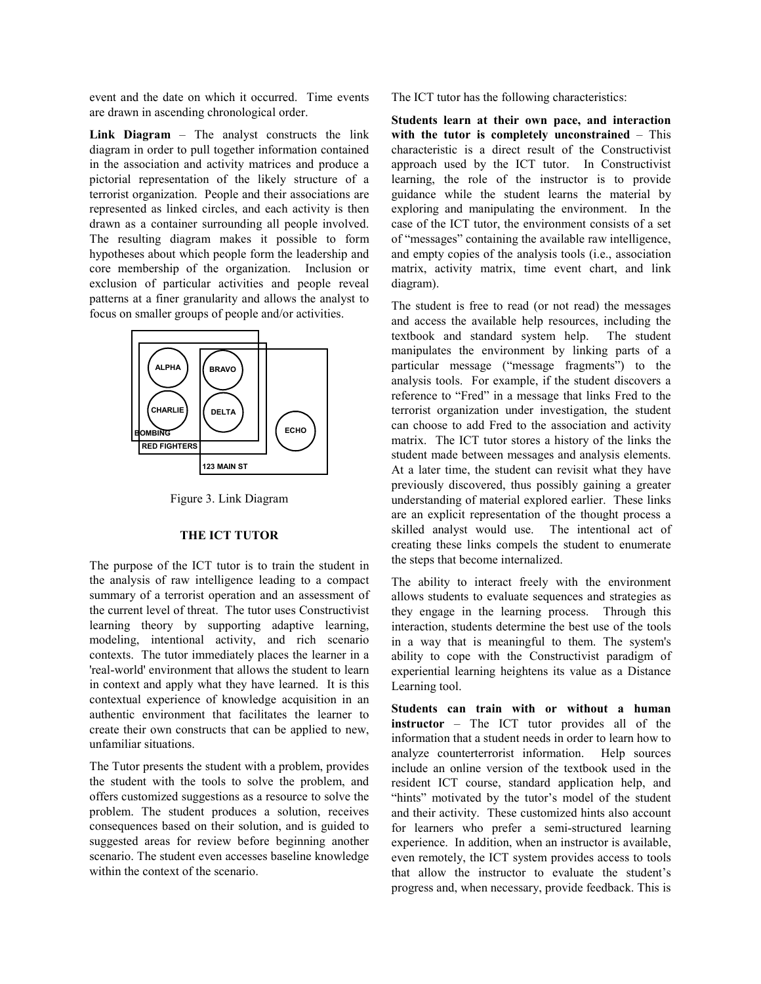event and the date on which it occurred. Time events are drawn in ascending chronological order.

**Link Diagram** – The analyst constructs the link diagram in order to pull together information contained in the association and activity matrices and produce a pictorial representation of the likely structure of a terrorist organization. People and their associations are represented as linked circles, and each activity is then drawn as a container surrounding all people involved. The resulting diagram makes it possible to form hypotheses about which people form the leadership and core membership of the organization. Inclusion or exclusion of particular activities and people reveal patterns at a finer granularity and allows the analyst to focus on smaller groups of people and/or activities.



Figure 3. Link Diagram

#### **THE ICT TUTOR**

The purpose of the ICT tutor is to train the student in the analysis of raw intelligence leading to a compact summary of a terrorist operation and an assessment of the current level of threat. The tutor uses Constructivist learning theory by supporting adaptive learning, modeling, intentional activity, and rich scenario contexts. The tutor immediately places the learner in a 'real-world' environment that allows the student to learn in context and apply what they have learned. It is this contextual experience of knowledge acquisition in an authentic environment that facilitates the learner to create their own constructs that can be applied to new, unfamiliar situations.

The Tutor presents the student with a problem, provides the student with the tools to solve the problem, and offers customized suggestions as a resource to solve the problem. The student produces a solution, receives consequences based on their solution, and is guided to suggested areas for review before beginning another scenario. The student even accesses baseline knowledge within the context of the scenario.

The ICT tutor has the following characteristics:

**Students learn at their own pace, and interaction with the tutor is completely unconstrained** – This characteristic is a direct result of the Constructivist approach used by the ICT tutor. In Constructivist learning, the role of the instructor is to provide guidance while the student learns the material by exploring and manipulating the environment. In the case of the ICT tutor, the environment consists of a set of "messages" containing the available raw intelligence, and empty copies of the analysis tools (i.e., association matrix, activity matrix, time event chart, and link diagram).

The student is free to read (or not read) the messages and access the available help resources, including the textbook and standard system help. The student manipulates the environment by linking parts of a particular message ("message fragments") to the analysis tools. For example, if the student discovers a reference to "Fred" in a message that links Fred to the terrorist organization under investigation, the student can choose to add Fred to the association and activity matrix. The ICT tutor stores a history of the links the student made between messages and analysis elements. At a later time, the student can revisit what they have previously discovered, thus possibly gaining a greater understanding of material explored earlier. These links are an explicit representation of the thought process a skilled analyst would use. The intentional act of creating these links compels the student to enumerate the steps that become internalized.

The ability to interact freely with the environment allows students to evaluate sequences and strategies as they engage in the learning process. Through this interaction, students determine the best use of the tools in a way that is meaningful to them. The system's ability to cope with the Constructivist paradigm of experiential learning heightens its value as a Distance Learning tool.

**Students can train with or without a human instructor** – The ICT tutor provides all of the information that a student needs in order to learn how to analyze counterterrorist information. Help sources include an online version of the textbook used in the resident ICT course, standard application help, and "hints" motivated by the tutor's model of the student and their activity. These customized hints also account for learners who prefer a semi-structured learning experience. In addition, when an instructor is available, even remotely, the ICT system provides access to tools that allow the instructor to evaluate the student's progress and, when necessary, provide feedback. This is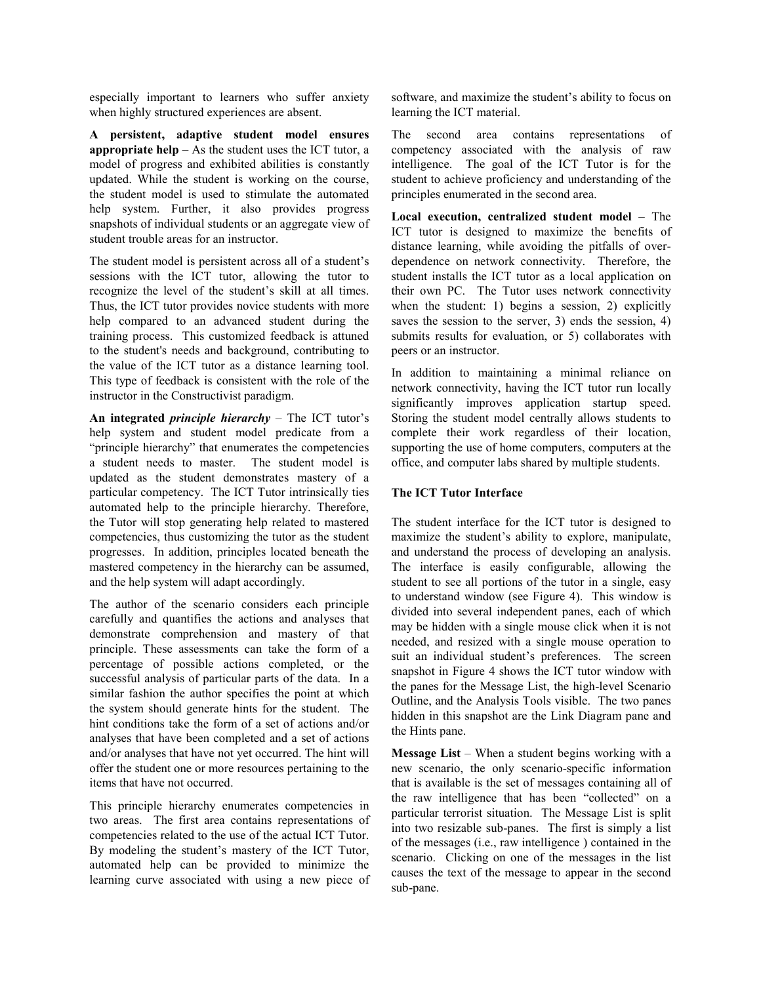especially important to learners who suffer anxiety when highly structured experiences are absent.

**A persistent, adaptive student model ensures appropriate help** – As the student uses the ICT tutor, a model of progress and exhibited abilities is constantly updated. While the student is working on the course, the student model is used to stimulate the automated help system. Further, it also provides progress snapshots of individual students or an aggregate view of student trouble areas for an instructor.

The student model is persistent across all of a student's sessions with the ICT tutor, allowing the tutor to recognize the level of the student's skill at all times. Thus, the ICT tutor provides novice students with more help compared to an advanced student during the training process. This customized feedback is attuned to the student's needs and background, contributing to the value of the ICT tutor as a distance learning tool. This type of feedback is consistent with the role of the instructor in the Constructivist paradigm.

**An integrated** *principle hierarchy* – The ICT tutor's help system and student model predicate from a "principle hierarchy" that enumerates the competencies a student needs to master. The student model is updated as the student demonstrates mastery of a particular competency. The ICT Tutor intrinsically ties automated help to the principle hierarchy. Therefore, the Tutor will stop generating help related to mastered competencies, thus customizing the tutor as the student progresses. In addition, principles located beneath the mastered competency in the hierarchy can be assumed, and the help system will adapt accordingly.

The author of the scenario considers each principle carefully and quantifies the actions and analyses that demonstrate comprehension and mastery of that principle. These assessments can take the form of a percentage of possible actions completed, or the successful analysis of particular parts of the data. In a similar fashion the author specifies the point at which the system should generate hints for the student. The hint conditions take the form of a set of actions and/or analyses that have been completed and a set of actions and/or analyses that have not yet occurred. The hint will offer the student one or more resources pertaining to the items that have not occurred.

This principle hierarchy enumerates competencies in two areas. The first area contains representations of competencies related to the use of the actual ICT Tutor. By modeling the student's mastery of the ICT Tutor, automated help can be provided to minimize the learning curve associated with using a new piece of software, and maximize the student's ability to focus on learning the ICT material.

The second area contains representations of competency associated with the analysis of raw intelligence. The goal of the ICT Tutor is for the student to achieve proficiency and understanding of the principles enumerated in the second area.

**Local execution, centralized student model** – The ICT tutor is designed to maximize the benefits of distance learning, while avoiding the pitfalls of overdependence on network connectivity. Therefore, the student installs the ICT tutor as a local application on their own PC. The Tutor uses network connectivity when the student: 1) begins a session, 2) explicitly saves the session to the server, 3) ends the session, 4) submits results for evaluation, or 5) collaborates with peers or an instructor.

In addition to maintaining a minimal reliance on network connectivity, having the ICT tutor run locally significantly improves application startup speed. Storing the student model centrally allows students to complete their work regardless of their location, supporting the use of home computers, computers at the office, and computer labs shared by multiple students.

# **The ICT Tutor Interface**

The student interface for the ICT tutor is designed to maximize the student's ability to explore, manipulate, and understand the process of developing an analysis. The interface is easily configurable, allowing the student to see all portions of the tutor in a single, easy to understand window (see Figure 4). This window is divided into several independent panes, each of which may be hidden with a single mouse click when it is not needed, and resized with a single mouse operation to suit an individual student's preferences. The screen snapshot in Figure 4 shows the ICT tutor window with the panes for the Message List, the high-level Scenario Outline, and the Analysis Tools visible. The two panes hidden in this snapshot are the Link Diagram pane and the Hints pane.

**Message List** – When a student begins working with a new scenario, the only scenario-specific information that is available is the set of messages containing all of the raw intelligence that has been "collected" on a particular terrorist situation. The Message List is split into two resizable sub-panes. The first is simply a list of the messages (i.e., raw intelligence ) contained in the scenario. Clicking on one of the messages in the list causes the text of the message to appear in the second sub-pane.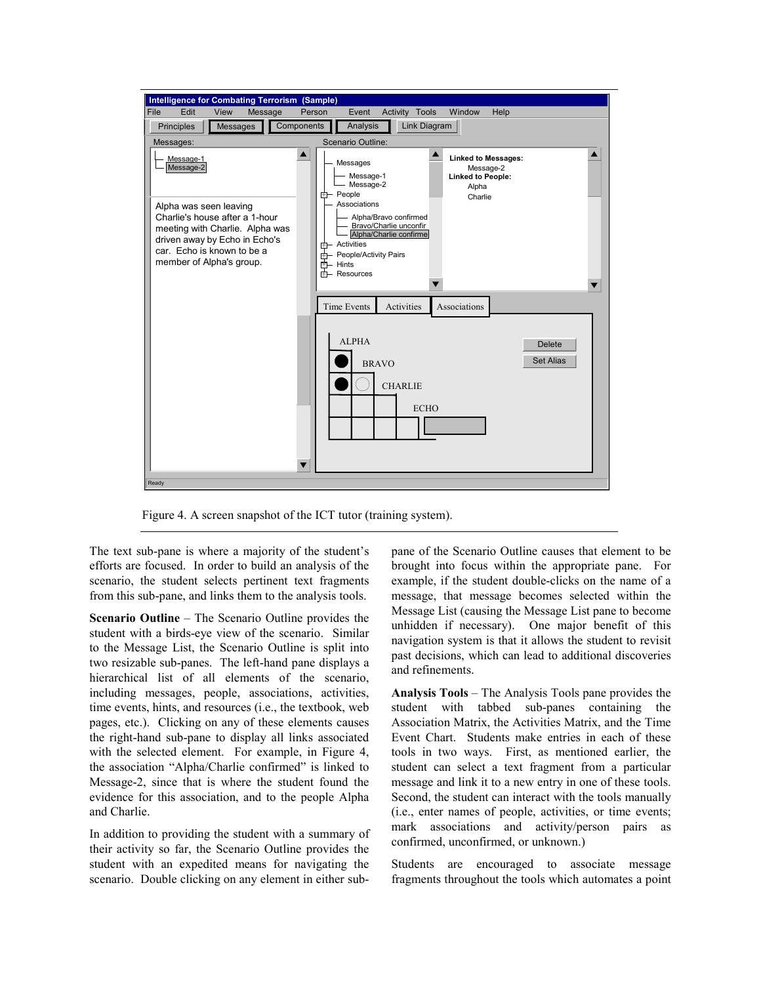

Figure 4. A screen snapshot of the ICT tutor (training system).

The text sub-pane is where a majority of the student's efforts are focused. In order to build an analysis of the scenario, the student selects pertinent text fragments from this sub-pane, and links them to the analysis tools.

**Scenario Outline** – The Scenario Outline provides the student with a birds-eye view of the scenario. Similar to the Message List, the Scenario Outline is split into two resizable sub-panes. The left-hand pane displays a hierarchical list of all elements of the scenario, including messages, people, associations, activities, time events, hints, and resources (i.e., the textbook, web pages, etc.). Clicking on any of these elements causes the right-hand sub-pane to display all links associated with the selected element. For example, in Figure 4, the association "Alpha/Charlie confirmed" is linked to Message-2, since that is where the student found the evidence for this association, and to the people Alpha and Charlie.

In addition to providing the student with a summary of their activity so far, the Scenario Outline provides the student with an expedited means for navigating the scenario. Double clicking on any element in either subpane of the Scenario Outline causes that element to be brought into focus within the appropriate pane. For example, if the student double-clicks on the name of a message, that message becomes selected within the Message List (causing the Message List pane to become unhidden if necessary). One major benefit of this navigation system is that it allows the student to revisit past decisions, which can lead to additional discoveries and refinements.

**Analysis Tools** – The Analysis Tools pane provides the student with tabbed sub-panes containing the Association Matrix, the Activities Matrix, and the Time Event Chart. Students make entries in each of these tools in two ways. First, as mentioned earlier, the student can select a text fragment from a particular message and link it to a new entry in one of these tools. Second, the student can interact with the tools manually (i.e., enter names of people, activities, or time events; mark associations and activity/person pairs as confirmed, unconfirmed, or unknown.)

Students are encouraged to associate message fragments throughout the tools which automates a point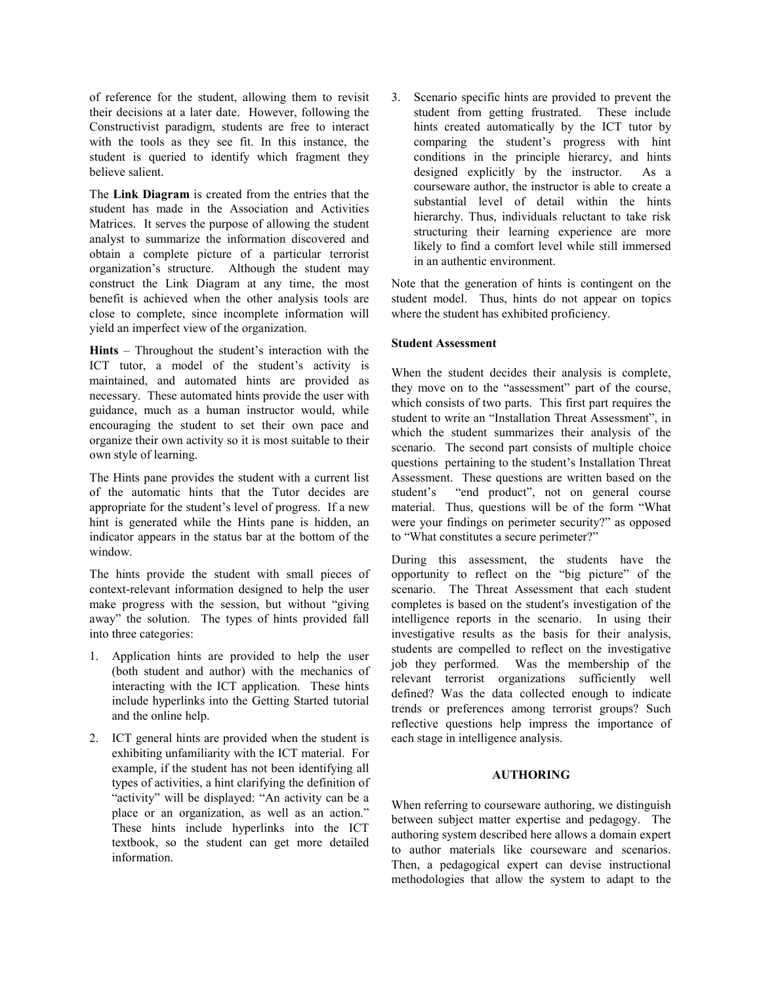of reference for the student, allowing them to revisit their decisions at a later date. However, following the Constructivist paradigm, students are free to interact with the tools as they see fit. In this instance, the student is queried to identify which fragment they believe salient.

The **Link Diagram** is created from the entries that the student has made in the Association and Activities Matrices. It serves the purpose of allowing the student analyst to summarize the information discovered and obtain a complete picture of a particular terrorist organization's structure. Although the student may construct the Link Diagram at any time, the most benefit is achieved when the other analysis tools are close to complete, since incomplete information will yield an imperfect view of the organization.

**Hints** – Throughout the student's interaction with the ICT tutor, a model of the student's activity is maintained, and automated hints are provided as necessary. These automated hints provide the user with guidance, much as a human instructor would, while encouraging the student to set their own pace and organize their own activity so it is most suitable to their own style of learning.

The Hints pane provides the student with a current list of the automatic hints that the Tutor decides are appropriate for the student's level of progress. If a new hint is generated while the Hints pane is hidden, an indicator appears in the status bar at the bottom of the window.

The hints provide the student with small pieces of context-relevant information designed to help the user make progress with the session, but without "giving away" the solution. The types of hints provided fall into three categories:

- 1. Application hints are provided to help the user (both student and author) with the mechanics of interacting with the ICT application. These hints include hyperlinks into the Getting Started tutorial and the online help.
- 2. ICT general hints are provided when the student is exhibiting unfamiliarity with the ICT material. For example, if the student has not been identifying all types of activities, a hint clarifying the definition of "activity" will be displayed: "An activity can be a place or an organization, as well as an action." These hints include hyperlinks into the ICT textbook, so the student can get more detailed information.

3. Scenario specific hints are provided to prevent the student from getting frustrated. These include hints created automatically by the ICT tutor by comparing the student's progress with hint conditions in the principle hierarcy, and hints designed explicitly by the instructor. As a courseware author, the instructor is able to create a substantial level of detail within the hints hierarchy. Thus, individuals reluctant to take risk structuring their learning experience are more likely to find a comfort level while still immersed in an authentic environment.

Note that the generation of hints is contingent on the student model. Thus, hints do not appear on topics where the student has exhibited proficiency.

# **Student Assessment**

When the student decides their analysis is complete, they move on to the "assessment" part of the course, which consists of two parts. This first part requires the student to write an "Installation Threat Assessment", in which the student summarizes their analysis of the scenario. The second part consists of multiple choice questions pertaining to the student's Installation Threat Assessment. These questions are written based on the student's "end product", not on general course material. Thus, questions will be of the form "What were your findings on perimeter security?" as opposed to "What constitutes a secure perimeter?"

During this assessment, the students have the opportunity to reflect on the "big picture" of the scenario. The Threat Assessment that each student completes is based on the student's investigation of the intelligence reports in the scenario. In using their investigative results as the basis for their analysis, students are compelled to reflect on the investigative job they performed. Was the membership of the relevant terrorist organizations sufficiently well defined? Was the data collected enough to indicate trends or preferences among terrorist groups? Such reflective questions help impress the importance of each stage in intelligence analysis.

# **AUTHORING**

When referring to courseware authoring, we distinguish between subject matter expertise and pedagogy. The authoring system described here allows a domain expert to author materials like courseware and scenarios. Then, a pedagogical expert can devise instructional methodologies that allow the system to adapt to the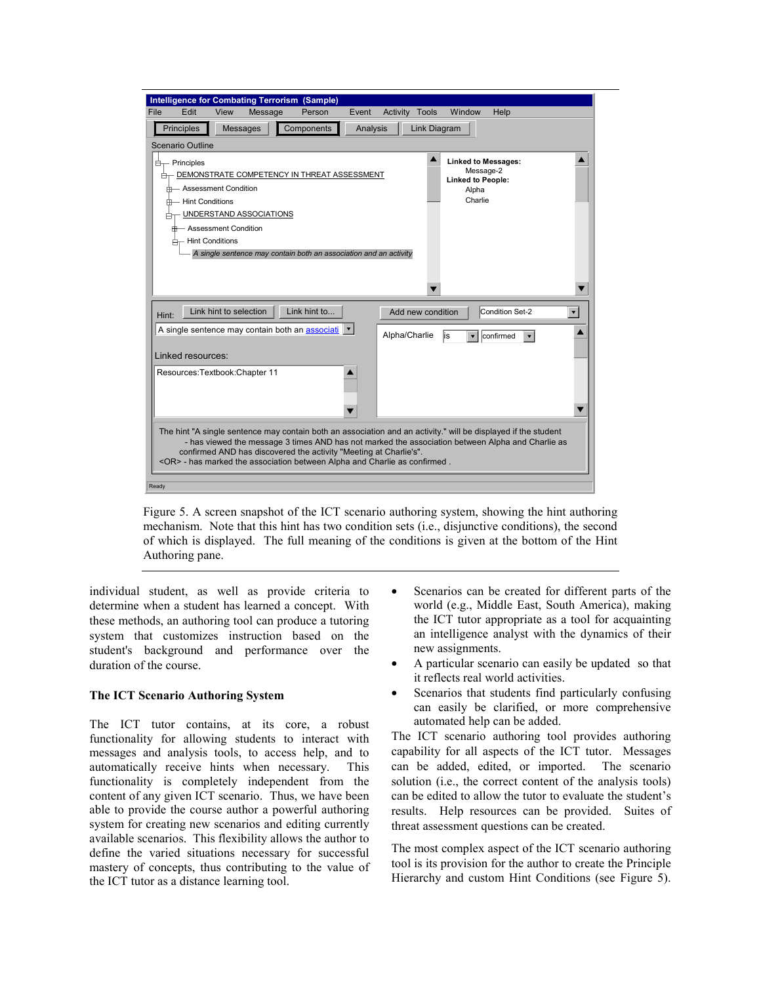

Figure 5. A screen snapshot of the ICT scenario authoring system, showing the hint authoring mechanism. Note that this hint has two condition sets (i.e., disjunctive conditions), the second of which is displayed. The full meaning of the conditions is given at the bottom of the Hint Authoring pane.

individual student, as well as provide criteria to determine when a student has learned a concept. With these methods, an authoring tool can produce a tutoring system that customizes instruction based on the student's background and performance over the duration of the course.

## **The ICT Scenario Authoring System**

The ICT tutor contains, at its core, a robust functionality for allowing students to interact with messages and analysis tools, to access help, and to automatically receive hints when necessary. This functionality is completely independent from the content of any given ICT scenario. Thus, we have been able to provide the course author a powerful authoring system for creating new scenarios and editing currently available scenarios. This flexibility allows the author to define the varied situations necessary for successful mastery of concepts, thus contributing to the value of the ICT tutor as a distance learning tool.

- Scenarios can be created for different parts of the world (e.g., Middle East, South America), making the ICT tutor appropriate as a tool for acquainting an intelligence analyst with the dynamics of their new assignments.
- A particular scenario can easily be updated so that it reflects real world activities.
- Scenarios that students find particularly confusing can easily be clarified, or more comprehensive automated help can be added.

The ICT scenario authoring tool provides authoring capability for all aspects of the ICT tutor. Messages can be added, edited, or imported. The scenario solution (i.e., the correct content of the analysis tools) can be edited to allow the tutor to evaluate the student's results. Help resources can be provided. Suites of threat assessment questions can be created.

The most complex aspect of the ICT scenario authoring tool is its provision for the author to create the Principle Hierarchy and custom Hint Conditions (see Figure 5).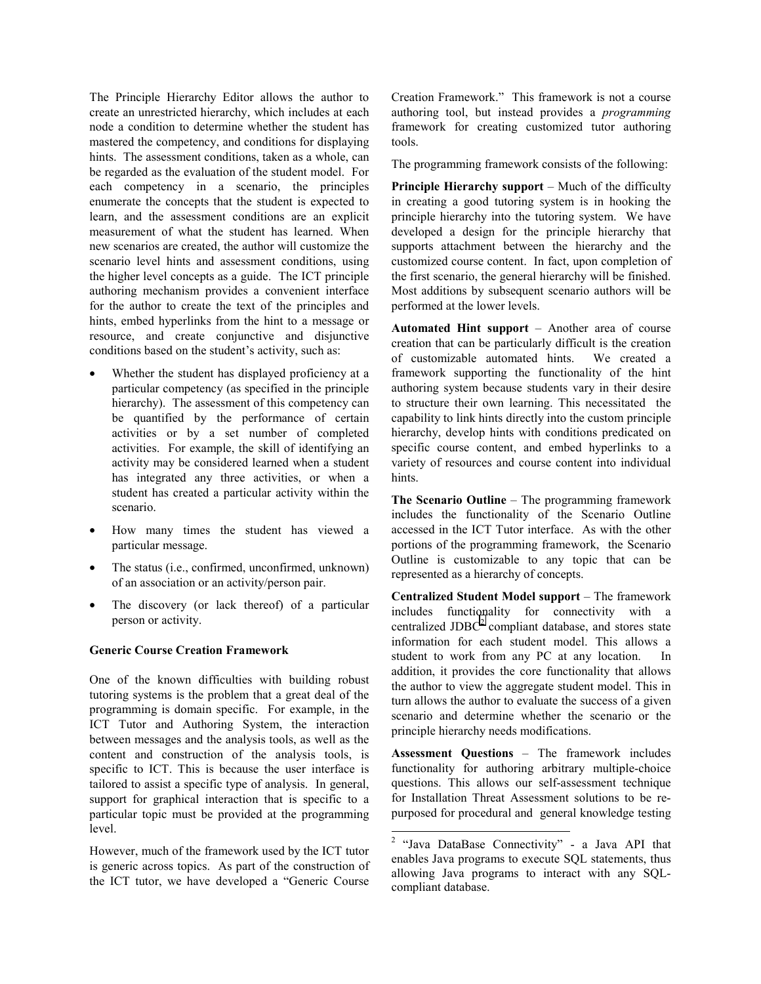The Principle Hierarchy Editor allows the author to create an unrestricted hierarchy, which includes at each node a condition to determine whether the student has mastered the competency, and conditions for displaying hints. The assessment conditions, taken as a whole, can be regarded as the evaluation of the student model. For each competency in a scenario, the principles enumerate the concepts that the student is expected to learn, and the assessment conditions are an explicit measurement of what the student has learned. When new scenarios are created, the author will customize the scenario level hints and assessment conditions, using the higher level concepts as a guide. The ICT principle authoring mechanism provides a convenient interface for the author to create the text of the principles and hints, embed hyperlinks from the hint to a message or resource, and create conjunctive and disjunctive conditions based on the student's activity, such as:

- Whether the student has displayed proficiency at a particular competency (as specified in the principle hierarchy). The assessment of this competency can be quantified by the performance of certain activities or by a set number of completed activities. For example, the skill of identifying an activity may be considered learned when a student has integrated any three activities, or when a student has created a particular activity within the scenario.
- How many times the student has viewed a particular message.
- The status (i.e., confirmed, unconfirmed, unknown) of an association or an activity/person pair.
- The discovery (or lack thereof) of a particular person or activity.

# **Generic Course Creation Framework**

One of the known difficulties with building robust tutoring systems is the problem that a great deal of the programming is domain specific. For example, in the ICT Tutor and Authoring System, the interaction between messages and the analysis tools, as well as the content and construction of the analysis tools, is specific to ICT. This is because the user interface is tailored to assist a specific type of analysis. In general, support for graphical interaction that is specific to a particular topic must be provided at the programming level.

However, much of the framework used by the ICT tutor is generic across topics. As part of the construction of the ICT tutor, we have developed a "Generic Course

Creation Framework." This framework is not a course authoring tool, but instead provides a *programming* framework for creating customized tutor authoring tools.

The programming framework consists of the following:

**Principle Hierarchy support** – Much of the difficulty in creating a good tutoring system is in hooking the principle hierarchy into the tutoring system. We have developed a design for the principle hierarchy that supports attachment between the hierarchy and the customized course content. In fact, upon completion of the first scenario, the general hierarchy will be finished. Most additions by subsequent scenario authors will be performed at the lower levels.

**Automated Hint support** – Another area of course creation that can be particularly difficult is the creation of customizable automated hints. We created a framework supporting the functionality of the hint authoring system because students vary in their desire to structure their own learning. This necessitated the capability to link hints directly into the custom principle hierarchy, develop hints with conditions predicated on specific course content, and embed hyperlinks to a variety of resources and course content into individual hints.

**The Scenario Outline** – The programming framework includes the functionality of the Scenario Outline accessed in the ICT Tutor interface. As with the other portions of the programming framework, the Scenario Outline is customizable to any topic that can be represented as a hierarchy of concepts.

**Centralized Student Model support** – The framework includes functionality for connectivity with a centralized JDBC $2$  compliant database, and stores state information for each student model. This allows a student to work from any PC at any location. In addition, it provides the core functionality that allows the author to view the aggregate student model. This in turn allows the author to evaluate the success of a given scenario and determine whether the scenario or the principle hierarchy needs modifications.

**Assessment Questions** – The framework includes functionality for authoring arbitrary multiple-choice questions. This allows our self-assessment technique for Installation Threat Assessment solutions to be repurposed for procedural and general knowledge testing

 2 "Java DataBase Connectivity" - a Java API that enables Java programs to execute SQL statements, thus allowing Java programs to interact with any SQLcompliant database.